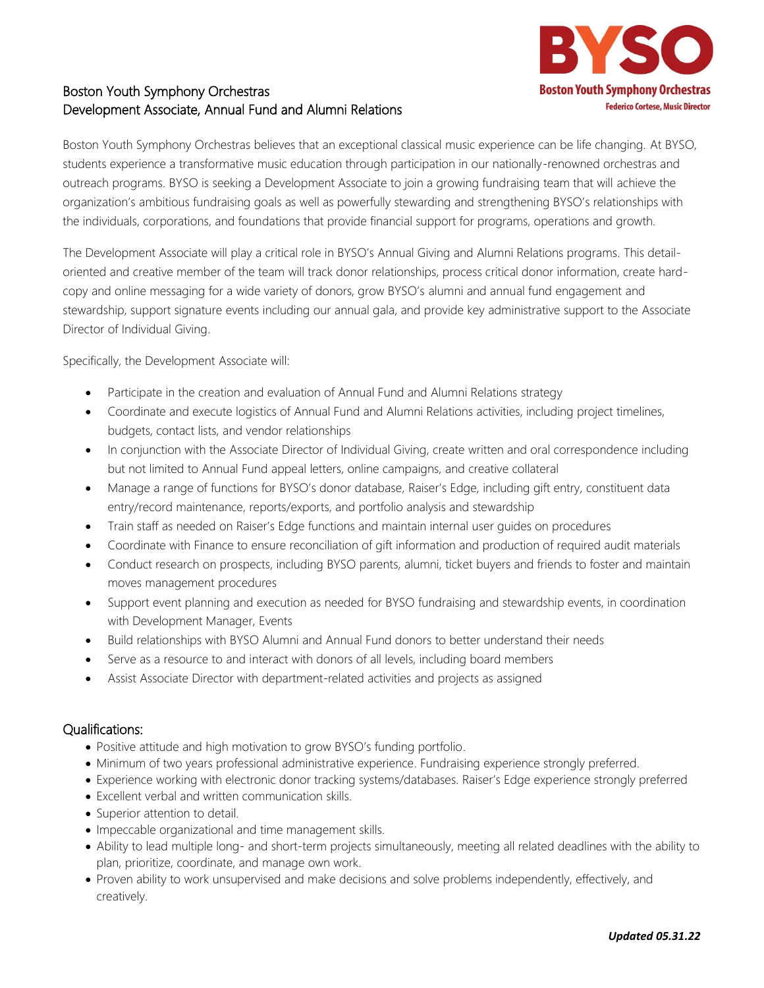

## Boston Youth Symphony Orchestras Development Associate, Annual Fund and Alumni Relations

Boston Youth Symphony Orchestras believes that an exceptional classical music experience can be life changing. At BYSO, students experience a transformative music education through participation in our nationally-renowned orchestras and outreach programs. BYSO is seeking a Development Associate to join a growing fundraising team that will achieve the organization's ambitious fundraising goals as well as powerfully stewarding and strengthening BYSO's relationships with the individuals, corporations, and foundations that provide financial support for programs, operations and growth.

The Development Associate will play a critical role in BYSO's Annual Giving and Alumni Relations programs. This detailoriented and creative member of the team will track donor relationships, process critical donor information, create hardcopy and online messaging for a wide variety of donors, grow BYSO's alumni and annual fund engagement and stewardship, support signature events including our annual gala, and provide key administrative support to the Associate Director of Individual Giving.

Specifically, the Development Associate will:

- Participate in the creation and evaluation of Annual Fund and Alumni Relations strategy
- Coordinate and execute logistics of Annual Fund and Alumni Relations activities, including project timelines, budgets, contact lists, and vendor relationships
- In conjunction with the Associate Director of Individual Giving, create written and oral correspondence including but not limited to Annual Fund appeal letters, online campaigns, and creative collateral
- Manage a range of functions for BYSO's donor database, Raiser's Edge, including gift entry, constituent data entry/record maintenance, reports/exports, and portfolio analysis and stewardship
- Train staff as needed on Raiser's Edge functions and maintain internal user guides on procedures
- Coordinate with Finance to ensure reconciliation of gift information and production of required audit materials
- Conduct research on prospects, including BYSO parents, alumni, ticket buyers and friends to foster and maintain moves management procedures
- Support event planning and execution as needed for BYSO fundraising and stewardship events, in coordination with Development Manager, Events
- Build relationships with BYSO Alumni and Annual Fund donors to better understand their needs
- Serve as a resource to and interact with donors of all levels, including board members
- Assist Associate Director with department-related activities and projects as assigned

## Qualifications:

- Positive attitude and high motivation to grow BYSO's funding portfolio.
- Minimum of two years professional administrative experience. Fundraising experience strongly preferred.
- Experience working with electronic donor tracking systems/databases. Raiser's Edge experience strongly preferred
- Excellent verbal and written communication skills.
- Superior attention to detail.
- Impeccable organizational and time management skills.
- Ability to lead multiple long- and short-term projects simultaneously, meeting all related deadlines with the ability to plan, prioritize, coordinate, and manage own work.
- Proven ability to work unsupervised and make decisions and solve problems independently, effectively, and creatively.